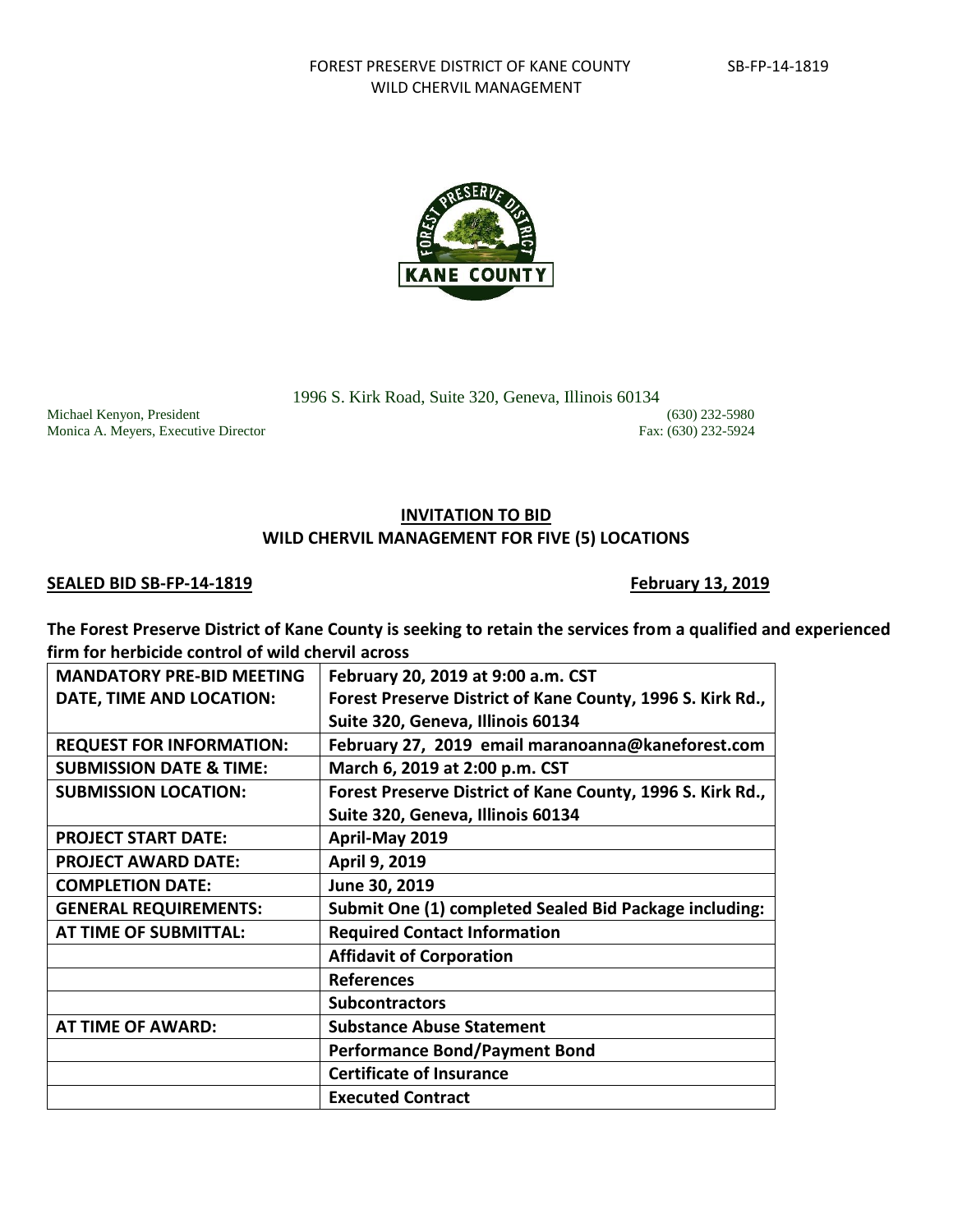

1996 S. Kirk Road, Suite 320, Geneva, Illinois 60134

Michael Kenyon, President (630) 232-5980<br>
Monica A. Meyers, Executive Director (630) 232-5924<br>
Fax: (630) 232-5924 Monica A. Meyers, Executive Director

## **INVITATION TO BID WILD CHERVIL MANAGEMENT FOR FIVE (5) LOCATIONS**

## **SEALED BID SB-FP-14-1819 February 13, 2019**

**The Forest Preserve District of Kane County is seeking to retain the services from a qualified and experienced firm for herbicide control of wild chervil across** 

| <b>MANDATORY PRE-BID MEETING</b>   | February 20, 2019 at 9:00 a.m. CST                         |
|------------------------------------|------------------------------------------------------------|
| DATE, TIME AND LOCATION:           | Forest Preserve District of Kane County, 1996 S. Kirk Rd., |
|                                    | Suite 320, Geneva, Illinois 60134                          |
| <b>REQUEST FOR INFORMATION:</b>    | February 27, 2019 email maranoanna@kaneforest.com          |
| <b>SUBMISSION DATE &amp; TIME:</b> | March 6, 2019 at 2:00 p.m. CST                             |
| <b>SUBMISSION LOCATION:</b>        | Forest Preserve District of Kane County, 1996 S. Kirk Rd., |
|                                    | Suite 320, Geneva, Illinois 60134                          |
| <b>PROJECT START DATE:</b>         | April-May 2019                                             |
| <b>PROJECT AWARD DATE:</b>         | April 9, 2019                                              |
| <b>COMPLETION DATE:</b>            | June 30, 2019                                              |
| <b>GENERAL REQUIREMENTS:</b>       | Submit One (1) completed Sealed Bid Package including:     |
| AT TIME OF SUBMITTAL:              | <b>Required Contact Information</b>                        |
|                                    | <b>Affidavit of Corporation</b>                            |
|                                    | <b>References</b>                                          |
|                                    | <b>Subcontractors</b>                                      |
| <b>AT TIME OF AWARD:</b>           | <b>Substance Abuse Statement</b>                           |
|                                    | <b>Performance Bond/Payment Bond</b>                       |
|                                    | <b>Certificate of Insurance</b>                            |
|                                    | <b>Executed Contract</b>                                   |